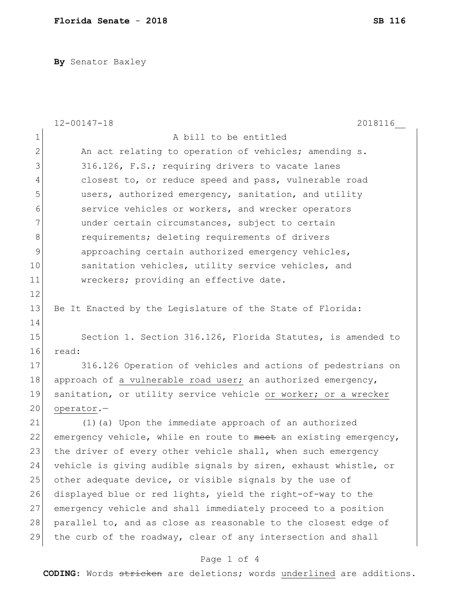**By** Senator Baxley

|                | $12 - 00147 - 18$<br>2018116                                     |
|----------------|------------------------------------------------------------------|
| $\mathbf 1$    | A bill to be entitled                                            |
| $\overline{2}$ | An act relating to operation of vehicles; amending s.            |
| 3              | 316.126, F.S.; requiring drivers to vacate lanes                 |
| 4              | closest to, or reduce speed and pass, vulnerable road            |
| 5              | users, authorized emergency, sanitation, and utility             |
| 6              | service vehicles or workers, and wrecker operators               |
| 7              | under certain circumstances, subject to certain                  |
| 8              | requirements; deleting requirements of drivers                   |
| 9              | approaching certain authorized emergency vehicles,               |
| 10             | sanitation vehicles, utility service vehicles, and               |
| 11             | wreckers; providing an effective date.                           |
| 12             |                                                                  |
| 13             | Be It Enacted by the Legislature of the State of Florida:        |
| 14             |                                                                  |
| 15             | Section 1. Section 316.126, Florida Statutes, is amended to      |
| 16             | read:                                                            |
| 17             | 316.126 Operation of vehicles and actions of pedestrians on      |
| 18             | approach of a vulnerable road user; an authorized emergency,     |
| 19             | sanitation, or utility service vehicle or worker; or a wrecker   |
| 20             | operator.-                                                       |
| 21             | (1) (a) Upon the immediate approach of an authorized             |
| 22             | emergency vehicle, while en route to meet an existing emergency, |
| 23             | the driver of every other vehicle shall, when such emergency     |
| 24             | vehicle is giving audible signals by siren, exhaust whistle, or  |
| 25             | other adequate device, or visible signals by the use of          |
| 26             | displayed blue or red lights, yield the right-of-way to the      |
| 27             | emergency vehicle and shall immediately proceed to a position    |
| 28             | parallel to, and as close as reasonable to the closest edge of   |
| 29             | the curb of the roadway, clear of any intersection and shall     |
|                | Page 1 of 4                                                      |

**CODING**: Words stricken are deletions; words underlined are additions.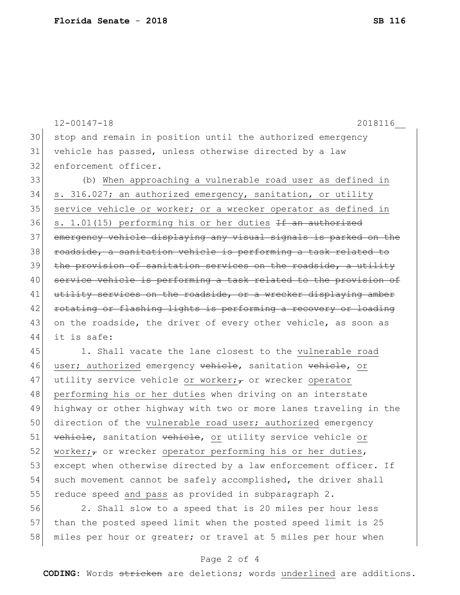12-00147-18 2018116\_\_ 30 stop and remain in position until the authorized emergency 31 vehicle has passed, unless otherwise directed by a law 32 enforcement officer. 33 (b) When approaching a vulnerable road user as defined in 34 s. 316.027; an authorized emergency, sanitation, or utility 35 service vehicle or worker; or a wrecker operator as defined in 36 s. 1.01(15) performing his or her duties  $If$  an authorized 37 emergency vehicle displaying any visual signals is parked on the 38 roadside, a sanitation vehicle is performing a task related to 39 the provision of sanitation services on the roadside, a utility 40 service vehicle is performing a task related to the provision of 41 utility services on the roadside, or a wrecker displaying amber 42 rotating or flashing lights is performing a recovery or loading 43 on the roadside, the driver of every other vehicle, as soon as 44 it is safe: 45 1. Shall vacate the lane closest to the vulnerable road 46 user; authorized emergency vehicle, sanitation vehicle, or 47 utility service vehicle or worker;  $\tau$  or wrecker operator 48 performing his or her duties when driving on an interstate

49 highway or other highway with two or more lanes traveling in the 50 direction of the vulnerable road user; authorized emergency 51 vehicle, sanitation vehicle, or utility service vehicle or 52 worker;  $\tau$  or wrecker operator performing his or her duties, 53 except when otherwise directed by a law enforcement officer. If 54 such movement cannot be safely accomplished, the driver shall 55 reduce speed and pass as provided in subparagraph 2.

56 2. Shall slow to a speed that is 20 miles per hour less 57 than the posted speed limit when the posted speed limit is 25 58 miles per hour or greater; or travel at 5 miles per hour when

## Page 2 of 4

**CODING**: Words stricken are deletions; words underlined are additions.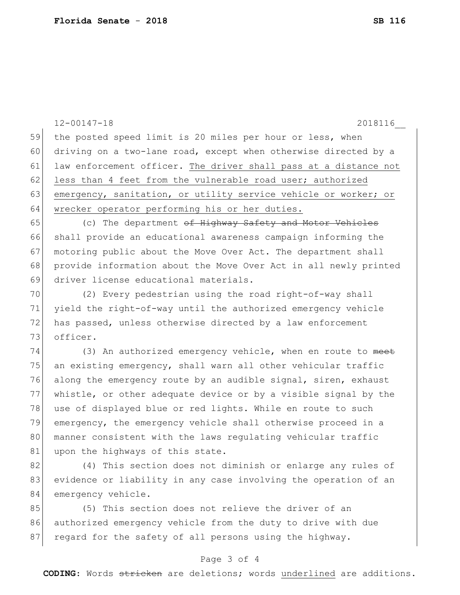|    | $12 - 00147 - 18$<br>2018116                                     |
|----|------------------------------------------------------------------|
| 59 | the posted speed limit is 20 miles per hour or less, when        |
| 60 | driving on a two-lane road, except when otherwise directed by a  |
| 61 | law enforcement officer. The driver shall pass at a distance not |
| 62 | less than 4 feet from the vulnerable road user; authorized       |
| 63 | emergency, sanitation, or utility service vehicle or worker; or  |
| 64 | wrecker operator performing his or her duties.                   |
| 65 | (c) The department of Highway Safety and Motor Vehicles          |
| 66 | shall provide an educational awareness campaign informing the    |
| 67 | motoring public about the Move Over Act. The department shall    |
| 68 | provide information about the Move Over Act in all newly printed |
| 69 | driver license educational materials.                            |
| 70 | (2) Every pedestrian using the road right-of-way shall           |
| 71 | yield the right-of-way until the authorized emergency vehicle    |
| 72 | has passed, unless otherwise directed by a law enforcement       |
| 73 | officer.                                                         |
| 74 | (3) An authorized emergency vehicle, when en route to meet       |
| 75 | an existing emergency, shall warn all other vehicular traffic    |
| 76 | along the emergency route by an audible signal, siren, exhaust   |
| 77 | whistle, or other adequate device or by a visible signal by the  |
| 78 | use of displayed blue or red lights. While en route to such      |
| 79 | emergency, the emergency vehicle shall otherwise proceed in a    |
| 80 | manner consistent with the laws regulating vehicular traffic     |
| 81 | upon the highways of this state.                                 |
| 82 | (4) This section does not diminish or enlarge any rules of       |
| 83 | evidence or liability in any case involving the operation of an  |
| 84 | emergency vehicle.                                               |
| 85 | (5) This section does not relieve the driver of an               |
| 86 | authorized emergency vehicle from the duty to drive with due     |
| 87 | regard for the safety of all persons using the highway.          |

## Page 3 of 4

**CODING**: Words stricken are deletions; words underlined are additions.